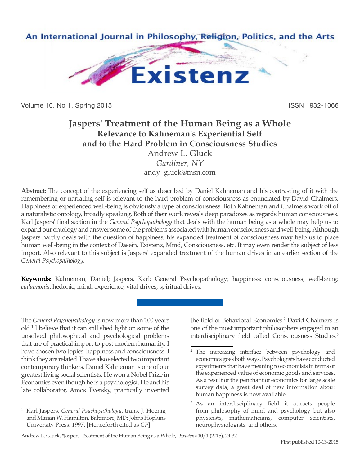

Volume 10, No 1, Spring 2015 **ISSN 1932-1066** ISSN 1932-1066

# **Jaspers' Treatment of the Human Being as a Whole Relevance to Kahneman's Experiential Self and to the Hard Problem in Consciousness Studies**

Andrew L. Gluck *Gardiner, NY* andy\_gluck@msn.com

**Abstract:** The concept of the experiencing self as described by Daniel Kahneman and his contrasting of it with the remembering or narrating self is relevant to the hard problem of consciousness as enunciated by David Chalmers. Happiness or experienced well-being is obviously a type of consciousness. Both Kahneman and Chalmers work off of a naturalistic ontology, broadly speaking. Both of their work reveals deep paradoxes as regards human consciousness. Karl Jaspers' final section in the *General Psychopathology* that deals with the human being as a whole may help us to expand our ontology and answer some of the problems associated with human consciousness and well-being. Although Jaspers hardly deals with the question of happiness, his expanded treatment of consciousness may help us to place human well-being in the context of Dasein, Existenz, Mind, Consciousness, etc. It may even render the subject of less import. Also relevant to this subject is Jaspers' expanded treatment of the human drives in an earlier section of the *General Psychopathology*.

**Keywords:** Kahneman, Daniel; Jaspers, Karl; General Psychopathology; happiness; consciousness; well-being; *eudaimonia*; hedonic; mind; experience; vital drives; spiritual drives.

The *General Psychopathology* is now more than 100 years old.1 I believe that it can still shed light on some of the unsolved philosophical and psychological problems that are of practical import to post-modern humanity. I have chosen two topics: happiness and consciousness. I think they are related. I have also selected two important contemporary thinkers. Daniel Kahneman is one of our greatest living social scientists. He won a Nobel Prize in Economics even though he is a psychologist. He and his late collaborator, Amos Tversky, practically invented

the field of Behavioral Economics.<sup>2</sup> David Chalmers is one of the most important philosophers engaged in an interdisciplinary field called Consciousness Studies.<sup>3</sup>

<sup>1</sup> Karl Jaspers, *General Psychopathology*, trans. J. Hoenig and Marian W. Hamilton, Baltimore, MD: Johns Hopkins University Press, 1997. [Henceforth cited as *GP*]

<sup>&</sup>lt;sup>2</sup> The increasing interface between psychology and economics goes both ways. Psychologists have conducted experiments that have meaning to economists in terms of the experienced value of economic goods and services. As a result of the penchant of economics for large scale survey data, a great deal of new information about human happiness is now available.

As an interdisciplinary field it attracts people from philosophy of mind and psychology but also physicists, mathematicians, computer scientists, neurophysiologists, and others.

Andrew L. Gluck, "Jaspers' Treatment of the Human Being as a Whole," *Existenz* 10/1 (2015), 24-32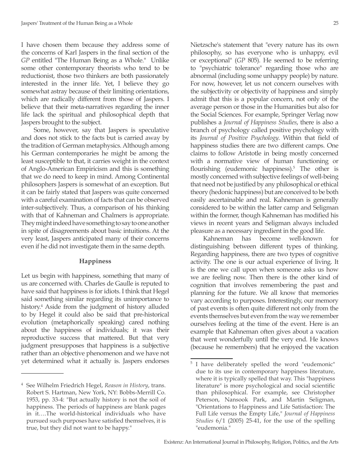I have chosen them because they address some of the concerns of Karl Jaspers in the final section of the *GP* entitled "The Human Being as a Whole." Unlike some other contemporary theorists who tend to be reductionist, those two thinkers are both passionately interested in the inner life. Yet, I believe they go somewhat astray because of their limiting orientations, which are radically different from those of Jaspers. I believe that their meta-narratives regarding the inner life lack the spiritual and philosophical depth that Jaspers brought to the subject.

Some, however, say that Jaspers is speculative and does not stick to the facts but is carried away by the tradition of German metaphysics. Although among his German contemporaries he might be among the least susceptible to that, it carries weight in the context of Anglo-American Empiricism and this is something that we do need to keep in mind. Among Continental philosophers Jaspers is somewhat of an exception. But it can be fairly stated that Jaspers was quite concerned with a careful examination of facts that can be observed inter-subjectively. Thus, a comparison of his thinking with that of Kahneman and Chalmers is appropriate. They might indeed have something to say to one another in spite of disagreements about basic intuitions. At the very least, Jaspers anticipated many of their concerns even if he did not investigate them in the same depth.

## **Happiness**

Let us begin with happiness, something that many of us are concerned with. Charles de Gaulle is reputed to have said that happiness is for idiots. I think that Hegel said something similar regarding its unimportance to history.4 Aside from the judgment of history alluded to by Hegel it could also be said that pre-historical evolution (metaphorically speaking) cared nothing about the happiness of individuals; it was their reproductive success that mattered. But that very judgment presupposes that happiness is a subjective rather than an objective phenomenon and we have not yet determined what it actually is. Jaspers endorses

Nietzsche's statement that "every nature has its own philosophy, so has everyone who is unhappy, evil or exceptional" (*GP* 805). He seemed to be referring to "psychiatric tolerance" regarding those who are abnormal (including some unhappy people) by nature. For now, however, let us not concern ourselves with the subjectivity or objectivity of happiness and simply admit that this is a popular concern, not only of the average person or those in the Humanities but also for the Social Sciences. For example, Springer Verlag now publishes a *Journal of Happiness Studies*, there is also a branch of psychology called positive psychology with its *Journal of Positive Psychology*. Within that field of happiness studies there are two different camps. One claims to follow Aristotle in being mostly concerned with a normative view of human functioning or flourishing (eudemonic happiness).<sup>5</sup> The other is mostly concerned with subjective feelings of well-being that need not be justified by any philosophical or ethical theory (hedonic happiness) but are conceived to be both easily ascertainable and real. Kahneman is generally considered to be within the latter camp and Seligman within the former, though Kahneman has modified his views in recent years and Seligman always included pleasure as a necessary ingredient in the good life.

Kahneman has become well-known for distinguishing between different types of thinking. Regarding happiness, there are two types of cognitive activity. The one is our actual experience of living. It is the one we call upon when someone asks us how we are feeling now. Then there is the other kind of cognition that involves remembering the past and planning for the future. We all know that memories vary according to purposes. Interestingly, our memory of past events is often quite different not only from the events themselves but even from the way we remember ourselves feeling at the time of the event. Here is an example that Kahneman often gives about a vacation that went wonderfully until the very end. He knows (because he remembers) that he enjoyed the vacation

<sup>4</sup> See Wilhelm Friedrich Hegel, *Reason in History*, trans. Robert S. Hartman, New York, NY: Bobbs-Merrill Co. 1953, pp. 33-4: "But actually history is not the soil of happiness. The periods of happiness are blank pages in it….The world-historical individuals who have pursued such purposes have satisfied themselves, it is true, but they did not want to be happy."

<sup>&</sup>lt;sup>5</sup> I have deliberately spelled the word "eudemonic" due to its use in contemporary happiness literature, where it is typically spelled that way. This "happiness literature" is more psychological and social scientific than philosophical. For example, see Christopher Peterson, Nansook Park, and Martin Seligman, "Orientations to Happiness and Life Satisfaction: The Full Life versus the Empty Life," *Journal of Happiness Studies* 6/1 (2005) 25-41, for the use of the spelling "eudemonia."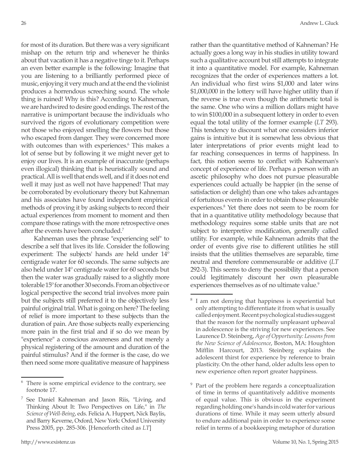for most of its duration. But there was a very significant mishap on the return trip and whenever he thinks about that vacation it has a negative tinge to it. Perhaps an even better example is the following: Imagine that you are listening to a brilliantly performed piece of music, enjoying it very much and at the end the violinist produces a horrendous screeching sound. The whole thing is ruined! Why is this? According to Kahneman, we are hardwired to desire good endings. The rest of the narrative is unimportant because the individuals who survived the rigors of evolutionary competition were not those who enjoyed smelling the flowers but those who escaped from danger. They were concerned more with outcomes than with experiences.<sup>6</sup> This makes a lot of sense but by following it we might never get to enjoy our lives. It is an example of inaccurate (perhaps even illogical) thinking that is heuristically sound and practical. All is well that ends well, and if it does not end well it may just as well not have happened! That may be corroborated by evolutionary theory but Kahneman and his associates have found independent empirical methods of proving it by asking subjects to record their actual experiences from moment to moment and then compare those ratings with the more retrospective ones after the events have been concluded.7

Kahneman uses the phrase "experiencing self" to describe a self that lives its life. Consider the following experiment: The subjects' hands are held under 14º centigrade water for 60 seconds. The same subjects are also held under 14º centigrade water for 60 seconds but then the water was gradually raised to a slightly more tolerable 15º for another 30 seconds. From an objective or logical perspective the second trial involves more pain but the subjects still preferred it to the objectively less painful original trial. What is going on here? The feeling of relief is more important to these subjects than the duration of pain. Are those subjects really experiencing more pain in the first trial and if so do we mean by "experience" a conscious awareness and not merely a physical registering of the amount and duration of the painful stimulus? And if the former is the case, do we then need some more qualitative measure of happiness

rather than the quantitative method of Kahneman? He actually goes a long way in his studies in utility toward such a qualitative account but still attempts to integrate it into a quantitative model. For example, Kahneman recognizes that the order of experiences matters a lot. An individual who first wins \$1,000 and later wins \$1,000,000 in the lottery will have higher utility than if the reverse is true even though the arithmetic total is the same. One who wins a million dollars might have to win \$100,000 in a subsequent lottery in order to even equal the total utility of the former example (*LT* 293). This tendency to discount what one considers inferior gains is intuitive but it is somewhat less obvious that later interpretations of prior events might lead to far reaching consequences in terms of happiness. In fact, this notion seems to conflict with Kahneman's concept of experience of life. Perhaps a person with an ascetic philosophy who does not pursue pleasurable experiences could actually be happier (in the sense of satisfaction or delight) than one who takes advantages of fortuitous events in order to obtain those pleasurable experiences.<sup>8</sup> Yet there does not seem to be room for that in a quantitative utility methodology because that methodology requires some stable units that are not subject to interpretive modification, generally called utility. For example, while Kahneman admits that the order of events give rise to different utilities he still insists that the utilities themselves are separable, time neutral and therefore commensurable or additive (*LT* 292-3). This seems to deny the possibility that a person could legitimately discount her own pleasurable experiences themselves as of no ultimate value.<sup>9</sup>

<sup>6</sup> There is some empirical evidence to the contrary, see footnote 17.

<sup>&</sup>lt;sup>7</sup> See Daniel Kahneman and Jason Riis, "Living, and Thinking About It: Two Perspectives on Life," in *The Science of Well-Being*, eds. Felicia A. Huppert, Nick Baylis, and Barry Keverne, Oxford, New York: Oxford University Press 2005, pp. 285-306. [Henceforth cited as *LT*]

<sup>8</sup> I am not denying that happiness is experiential but only attempting to differentiate it from what is usually called enjoyment. Recent psychological studies suggest that the reason for the normally unpleasant upheaval in adolescence is the striving for new experiences. See Laurence D. Steinberg, *Age of Opportunity: Lessons from the New Science of Adolescence*, Boston, MA: Houghton Mifflin Harcourt, 2013. Steinberg explains the adolescent thirst for experience by reference to brain plasticity. On the other hand, older adults less open to new experience often report greater happiness.

Part of the problem here regards a conceptualization of time in terms of quantitatively additive moments of equal value. This is obvious in the experiment regarding holding one's hands in cold water for various durations of time. While it may seem utterly absurd to endure additional pain in order to experience some relief in terms of a bookkeeping metaphor of duration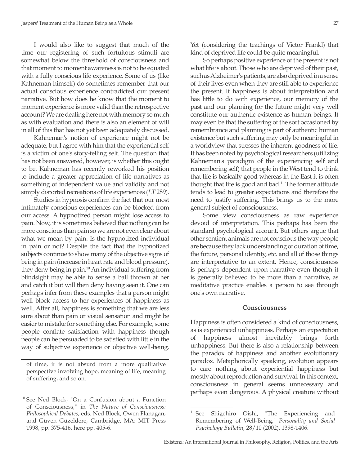I would also like to suggest that much of the time our registering of such fortuitous stimuli are somewhat below the threshold of consciousness and that moment to moment awareness is not to be equated with a fully conscious life experience. Some of us (like Kahneman himself) do sometimes remember that our actual conscious experience contradicted our present narrative. But how does he know that the moment to moment experience is more valid than the retrospective account? We are dealing here not with memory so much as with evaluation and there is also an element of will in all of this that has not yet been adequately discussed.

Kahneman's notion of experience might not be adequate, but I agree with him that the experiential self is a victim of one's story-telling self. The question that has not been answered, however, is whether this ought to be. Kahneman has recently reworked his position to include a greater appreciation of life narratives as something of independent value and validity and not simply distorted recreations of life experiences (*LT* 289).

Studies in hypnosis confirm the fact that our most intimately conscious experiences can be blocked from our access. A hypnotized person might lose access to pain. Now, it is sometimes believed that nothing can be more conscious than pain so we are not even clear about what we mean by pain. Is the hypnotized individual in pain or not? Despite the fact that the hypnotized subjects continue to show many of the objective signs of being in pain (increase in heart rate and blood pressure), they deny being in pain.<sup>10</sup> An individual suffering from blindsight may be able to sense a ball thrown at her and catch it but will then deny having seen it. One can perhaps infer from these examples that a person might well block access to her experiences of happiness as well. After all, happiness is something that we are less sure about than pain or visual sensation and might be easier to mistake for something else. For example, some people conflate satisfaction with happiness though people can be persuaded to be satisfied with little in the way of subjective experience or objective well-being.

Yet (considering the teachings of Victor Frankl) that kind of deprived life could be quite meaningful.

So perhaps positive experience of the present is not what life is about. Those who are deprived of their past, such as Alzheimer's patients, are also deprived in a sense of their lives even when they are still able to experience the present. If happiness is about interpretation and has little to do with experience, our memory of the past and our planning for the future might very well constitute our authentic existence as human beings. It may even be that the suffering of the sort occasioned by remembrance and planning is part of authentic human existence but such suffering may only be meaningful in a worldview that stresses the inherent goodness of life. It has been noted by psychological researchers (utilizing Kahneman's paradigm of the experiencing self and remembering self) that people in the West tend to think that life is basically good whereas in the East it is often thought that life is good and bad.<sup>11</sup> The former attitude tends to lead to greater expectations and therefore the need to justify suffering. This brings us to the more general subject of consciousness.

Some view consciousness as raw experience devoid of interpretation. This perhaps has been the standard psychological account. But others argue that other sentient animals are not conscious the way people are because they lack understanding of duration of time, the future, personal identity, etc. and all of those things are interpretative to an extent. Hence, consciousness is perhaps dependent upon narrative even though it is generally believed to be more than a narrative, as meditative practice enables a person to see through one's own narrative.

### **Consciousness**

Happiness is often considered a kind of consciousness, as is experienced unhappiness. Perhaps an expectation of happiness almost inevitably brings forth unhappiness. But there is also a relationship between the paradox of happiness and another evolutionary paradox. Metaphorically speaking, evolution appears to care nothing about experiential happiness but mostly about reproduction and survival. In this context, consciousness in general seems unnecessary and perhaps even dangerous. A physical creature without

of time, it is not absurd from a more qualitative perspective involving hope, meaning of life, meaning of suffering, and so on.

<sup>10</sup> See Ned Block, "On a Confusion about a Function of Consciousness," in *The Nature of Consciousness: Philosophical Debates*, eds. Ned Block, Owen Flanagan, and Güven Güzeldere, Cambridge, MA: MIT Press 1998, pp. 375-416, here pp. 405-6.

<sup>&</sup>lt;sup>11</sup> See Shigehiro Oishi, "The Experiencing and Remembering of Well-Being," *Personality and Social Psychology Bulletin*, 28/10 (2002), 1398-1406.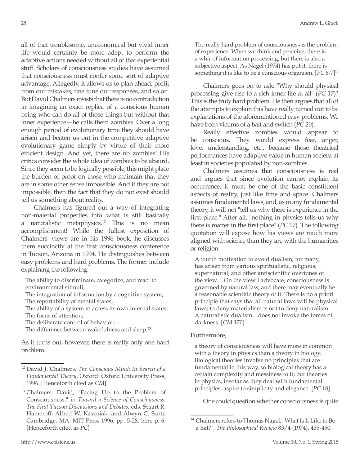all of that troublesome, uneconomical but vivid inner life would certainly be more adept to perform the adaptive actions needed without all of that experiential stuff. Scholars of consciousness studies have assumed that consciousness must confer some sort of adaptive advantage. Allegedly, it allows us to plan ahead, profit from our mistakes, fine tune our responses, and so on. But David Chalmers insists that there is no contradiction in imagining an exact replica of a conscious human being who can do all of those things but without that inner experience—he calls them zombies. Over a long enough period of evolutionary time they should have arisen and beaten us out in the competitive adaptive evolutionary game simply by virtue of their more efficient design. And yet, there are no zombies! His critics consider the whole idea of zombies to be absurd. Since they seem to be logically possible, this might place the burden of proof on those who maintain that they are in some other sense impossible. And if they are not impossible, then the fact that they do not exist should tell us something about reality.

Chalmers has figured out a way of integrating non-material properties into what is still basically a naturalistic metaphysics.12 This is no mean accomplishment! While the fullest exposition of Chalmers' views are in his 1996 book, he discusses them succinctly at the first consciousness conference in Tucson, Arizona in 1994. He distinguishes between easy problems and hard problems. The former include explaining the following:

The ability to discriminate, categorize, and react to environmental stimuli;

The integration of information by a cognitive system; The reportability of mental states;

The ability of a system to access its own internal states; The focus of attention;

The deliberate control of behavior;

The difference between wakefulness and sleep.<sup>13</sup>

As it turns out, however, there is really only one hard problem.

The really hard problem of consciousness is the problem of experience. When we think and perceive, there is a whir of information processing, but there is also a subjective aspect. As Nagel (1974) has put it, there is something it is like to be a conscious organism. [*PC* 6-7]14

Chalmers goes on to ask: "Why should physical processing give rise to a rich inner life at all" (*PC* 17)? This is the truly hard problem. He then argues that all of the attempts to explain this have really turned out to be explanations of the aforementioned easy problems. We have been victims of a bait and switch (*PC* 20).

Really effective zombies would appear to be conscious. They would express fear, anger, love, understanding, etc., because those theatrical performances have adaptive value in human society, at least in societies populated by non-zombies.

Chalmers assumes that consciousness is real and argues that since evolution cannot explain its occurrence, it must be one of the basic constituent aspects of reality, just like time and space. Chalmers assumes fundamental laws, and, as in any fundamental theory, it will not "tell us why there is experience in the first place." After all, "nothing in physics tells us why there is matter in the first place" (*PC* 17). The following quotation will expose how his views are much more aligned with science than they are with the humanities or religion.

A fourth motivation to avoid dualism, for many, has arisen from various spiritualistic, religious, supernatural, and other antiscientific overtones of the view.…On the view I advocate, consciousness is governed by natural law, and there may eventually be a reasonable scientific theory of it. There is no a priori principle that says that all natural laws will be physical laws; to deny materialism is not to deny naturalism. A naturalistic dualism…does not invoke the forces of darkness. [*CM* 170]

## Furthermore,

a theory of consciousness will have more in common with a theory in physics than a theory in biology. Biological theories involve no principles that are fundamental in this way, so biological theory has a certain complexity and messiness to it; but theories in physics, insofar as they deal with fundamental principles, aspire to simplicity and elegance. [*PC* 18]

One could question whether consciousness is quite

<sup>12</sup> David J. Chalmers, *The Conscious Mind: In Search of a Fundamental Theory*, Oxford: Oxford University Press, 1996. [Henceforth cited as *CM*]

 $13$  Chalmers, David, "Facing Up to the Problem of Consciousness," in *Toward a Science of Consciousness: The First Tucson Discussions and Debates*, eds. Stuart R. Hameroff, Alfred W. Kaszniak, and Alwyn C. Scott, Cambridge, MA: MIT Press 1996, pp. 5-28, here p. 6. [Henceforth cited as *PC*]

<sup>14</sup> Chalmers refers to Thomas Nagel, "What Is It Like to Be a Bat?", *The Philosophical Review* 83/4 (1974), 435-450.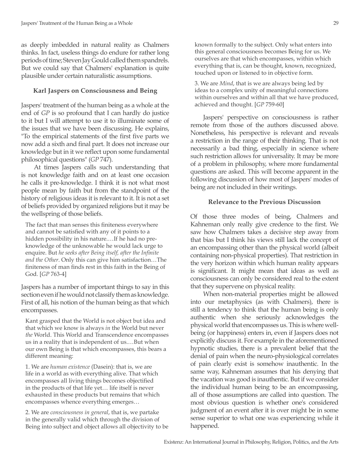as deeply imbedded in natural reality as Chalmers thinks. In fact, useless things do endure for rather long periods of time; Steven Jay Gould called them spandrels. But we could say that Chalmers' explanation is quite plausible under certain naturalistic assumptions.

# **Karl Jaspers on Consciousness and Being**

Jaspers' treatment of the human being as a whole at the end of *GP* is so profound that I can hardly do justice to it but I will attempt to use it to illuminate some of the issues that we have been discussing. He explains, "To the empirical statements of the first five parts we now add a sixth and final part. It does not increase our knowledge but in it we reflect upon some fundamental philosophical questions" (*GP* 747).

At times Jaspers calls such understanding that is not knowledge faith and on at least one occasion he calls it pre-knowledge. I think it is not what most people mean by faith but from the standpoint of the history of religious ideas it is relevant to it. It is not a set of beliefs provided by organized religions but it may be the wellspring of those beliefs.

The fact that man senses this finiteness everywhere and cannot be satisfied with any of it points to a hidden possibility in his nature.…If he had no preknowledge of the unknowable he would lack urge to enquire. But *he seeks after Being itself, after the Infinite and the Other*. Only this can give him satisfaction…The finiteness of man finds rest in this faith in the Being of God. [*GP* 763-4]

Jaspers has a number of important things to say in this section even if he would not classify them as knowledge. First of all, his notion of the human being as that which encompasses.

Kant grasped that the World is not object but idea and that which we know is always *in* the World but never *the* World. This World and Transcendence encompasses us in a reality that is independent of us.…But when our own Being is that which encompasses, this bears a different meaning:

1. We are *human existence* (Dasein): that is, we are life in a world as with everything alive. That which encompasses all living things becomes objectified in the products of that life yet… life itself is never exhausted in these products but remains that which encompasses whence everything emerges…

2. We are *consciousness in general*, that is, we partake in the generally valid which through the division of Being into subject and object allows all objectivity to be known formally to the subject. Only what enters into this general consciousness becomes Being for us. We ourselves are that which encompasses, within which everything that is, can be thought, known, recognized, touched upon or listened to in objective form.

3. We are *Mind*, that is we are always being led by ideas to a complex unity of meaningful connections within ourselves and within all that we have produced, achieved and thought. [*GP* 759-60]

Jaspers' perspective on consciousness is rather remote from those of the authors discussed above. Nonetheless, his perspective is relevant and reveals a restriction in the range of their thinking. That is not necessarily a bad thing, especially in science where such restriction allows for universality. It may be more of a problem in philosophy, where more fundamental questions are asked. This will become apparent in the following discussion of how most of Jaspers' modes of being are not included in their writings.

# **Relevance to the Previous Discussion**

Of those three modes of being, Chalmers and Kahneman only really give credence to the first. We saw how Chalmers takes a decisive step away from that bias but I think his views still lack the concept of an encompassing other than the physical world (albeit containing non-physical properties). That restriction in the very horizon within which human reality appears is significant. It might mean that ideas as well as consciousness can only be considered real to the extent that they supervene on physical reality.

When non-material properties might be allowed into our metaphysics (as with Chalmers), there is still a tendency to think that the human being is only authentic when she seriously acknowledges the physical world that encompasses us. This is where wellbeing (or happiness) enters in, even if Jaspers does not explicitly discuss it. For example in the aforementioned hypnotic studies, there is a prevalent belief that the denial of pain when the neuro-physiological correlates of pain clearly exist is somehow inauthentic. In the same way, Kahneman assumes that his denying that the vacation was good is inauthentic. But if we consider the individual human being to be an encompassing, all of those assumptions are called into question. The most obvious question is whether one's considered judgment of an event after it is over might be in some sense superior to what one was experiencing while it happened.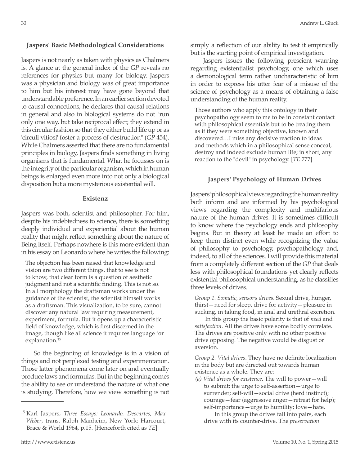## **Jaspers' Basic Methodological Considerations**

Jaspers is not nearly as taken with physics as Chalmers is. A glance at the general index of the *GP* reveals no references for physics but many for biology. Jaspers was a physician and biology was of great importance to him but his interest may have gone beyond that understandable preference. In an earlier section devoted to causal connections, he declares that causal relations in general and also in biological systems do not "run only one way, but take reciprocal effect; they extend in this circular fashion so that they either build life up or as 'circuli vitiosi' foster a process of destruction" (*GP* 454). While Chalmers asserted that there are no fundamental principles in biology, Jaspers finds something in living organisms that is fundamental. What he focusses on is the integrity of the particular organism, which in human beings is enlarged even more into not only a biological disposition but a more mysterious existential will.

## **Existenz**

Jaspers was both, scientist and philosopher. For him, despite his indebtedness to science, there is something deeply individual and experiential about the human reality that might reflect something about the nature of Being itself. Perhaps nowhere is this more evident than in his essay on Leonardo where he writes the following:

The objection has been raised that knowledge and vision are two different things, that to see is not to know, that clear form is a question of aesthetic judgment and not a scientific finding. This is not so. In all morphology the draftsman works under the guidance of the scientist, the scientist himself works as a draftsman. This visualization, to be sure, cannot discover any natural law requiring measurement, experiment, formula. But it opens up a characteristic field of knowledge, which is first discerned in the image, though like all science it requires language for explanation.<sup>15</sup>

So the beginning of knowledge is in a vision of things and not perplexed testing and experimentation. Those latter phenomena come later on and eventually produce laws and formulas. But in the beginning comes the ability to see or understand the nature of what one is studying. Therefore, how we view something is not simply a reflection of our ability to test it empirically but is the starting point of empirical investigation.

Jaspers issues the following prescient warning regarding existentialist psychology, one which uses a demonological term rather uncharacteristic of him in order to express his utter fear of a misuse of the science of psychology as a means of obtaining a false understanding of the human reality.

Those authors who apply this ontology in their psychopathology seem to me to be in constant contact with philosophical essentials but to be treating them as if they were something objective, known and discovered…I miss any decisive reaction to ideas and methods which in a philosophical sense conceal, destroy and indeed exclude human life; in short, any reaction to the "devil" in psychology. [*TE* 777]

#### **Jaspers' Psychology of Human Drives**

Jaspers' philosophical views regarding the human reality both inform and are informed by his psychological views regarding the complexity and multifarious nature of the human drives. It is sometimes difficult to know where the psychology ends and philosophy begins. But in theory at least he made an effort to keep them distinct even while recognizing the value of philosophy to psychology, psychopathology and, indeed, to all of the sciences. I will provide this material from a completely different section of the *GP* that deals less with philosophical foundations yet clearly reflects existential philosophical understanding, as he classifies three levels of drives.

*Group 1. Somatic, sensory drives*. Sexual drive, hunger, thirst—need for sleep, drive for activity—pleasure in sucking, in taking food, in anal and urethral excretion.

In this group the basic polarity is that of *need* and *satisfaction*. All the drives have some bodily correlate. The drives are positive only with no other positive drive opposing. The negative would be disgust or aversion.

*Group 2. Vital drives*. They have no definite localization in the body but are directed out towards human existence as a whole. They are:

*(a) Vital drives for existence*. The will to power—will to submit; the urge to self-assertion—urge to surrender; self-will – social drive (herd instinct); courage—fear (aggressive anger—retreat for help); self-importance—urge to humility; love—hate.

In this group the drives fall into pairs, each drive with its counter-drive. The *preservation*

<sup>15</sup> Karl Jaspers, *Three Essays: Leonardo, Descartes, Max Weber*, trans. Ralph Manheim, New York: Harcourt, Brace & World 1964, p.15. [Henceforth cited as *TE*]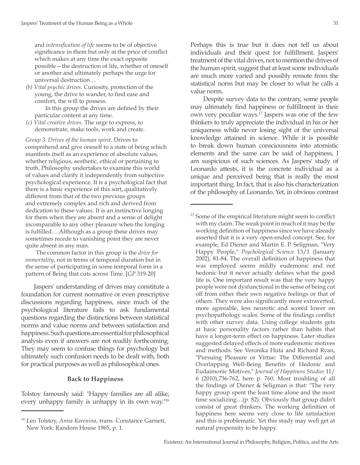and *intensification of life* seems to be of objective significance in them but only at the price of conflict which makes at any time the exact opposite possible—the destruction of life, whether of oneself or another and ultimately perhaps the urge for universal destruction…

*(b) Vital psychic drives*. Curiosity, protection of the young, the drive to wander, to find ease and comfort, the will to possess.

In this group the drives are defined by their particular content at any time.

*(c) Vital creative drives*. The urge to express, to demonstrate, make tools, work and create.

*Group 3. Drives of the human spirit*. Drives to comprehend and give oneself to a state of being which manifests itself as an experience of absolute values, whether religious, aesthetic, ethical or pertaining to truth. Philosophy undertakes to examine this world of values and clarify it independently from subjective psychological experience. It is a psychological fact that there is a basic experience of this sort, qualitatively different from that of the two previous groups and extremely complex and rich and derived from dedication to these values. It is an instinctive longing for them when they are absent and a sense of delight incomparable to any other pleasure when the longing is fulfilled.…Although as a group these drives may sometimes recede to vanishing point they are never quite absent in any man.

The common factor in this group is the *drive for immortality*, not in terms of temporal duration but in the sense of participating in some temporal form in a pattern of Being that cuts across Time. [*GP* 319-20]

Jaspers' understanding of drives may constitute a foundation for current normative or even prescriptive discussions regarding happiness, since much of the psychological literature fails to ask fundamental questions regarding the distinctions between statistical norms and value norms and between satisfaction and happiness. Such questions are essential for philosophical analysis even if answers are not readily forthcoming. They may seem to confuse things for psychology but ultimately such confusion needs to be dealt with, both for practical purposes as well as philosophical ones.

### **Back to Happiness**

Tolstoy famously said: "Happy families are all alike; every unhappy family is unhappy in its own way."16 Perhaps this is true but it does not tell us about individuals and their quest for fulfillment. Jaspers' treatment of the vital drives, not to mention the drives of the human spirit, suggest that at least some individuals are much more varied and possibly remote from the statistical norm but may be closer to what he calls a value norm.

Despite survey data to the contrary, some people may ultimately find happiness or fulfillment in their own very peculiar ways.17 Jaspers was one of the few thinkers to truly appreciate the individual in his or her uniqueness while never losing sight of the universal knowledge attained in science. While it is possible to break down human consciousness into atomistic elements and the same can be said of happiness, I am suspicious of such sciences. As Jaspers' study of Leonardo attests, it is the concrete individual as a unique and perceived being that is really the most important thing. In fact, that is also his characterization of the philosophy of Leonardo. Yet, in obvious contrast

<sup>16</sup> Leo Tolstoy, *Anna Karenina*, trans. Constance Garnett, New York: Random House 1965, p. 1.

<sup>&</sup>lt;sup>17</sup> Some of the empirical literature might seem to conflict with my claim. The weak point in much of it may be the working definition of happiness since we have already asserted that it is a very open-ended concept. See, for example, Ed Diener and Martin E. P. Seligman, "Very Happy People," *Psychological Science* 13/1 (January 2002), 81-84. The overall definition of happiness that was employed seems mildly eudemonic and not hedonic but it never actually defines what the good life is. One important result was that the very happy people were not dysfunctional in the sense of being cut off from either their own negative feelings or that of others. They were also significantly more extraverted, more agreeable, less neurotic and scored lower on psychopathology scales. Some of the findings conflict with other survey data. Using college students gets at basic personality factors rather than habits that have a longer-term effect on happiness. Later studies suggested delayed effects of more eudemonic motives and methods. See Veronika Huta and Richard Ryan, "Pursuing Pleasure or Virtue: The Differential and Overlapping Well-Being Benefits of Hedonic and Eudaimonic Motives," *Journal of Happiness Studies* 11/ 6 (2010),736-762, here p. 760. Most troubling of all the findings of Diener & Seligman is that: "The very happy group spent the least time alone and the most time socializing…(p. 82). Obviously that group didn't consist of great thinkers. The working definition of happiness here seems very close to life satisfaction and this is problematic. Yet this study may well get at natural propensity to be happy.